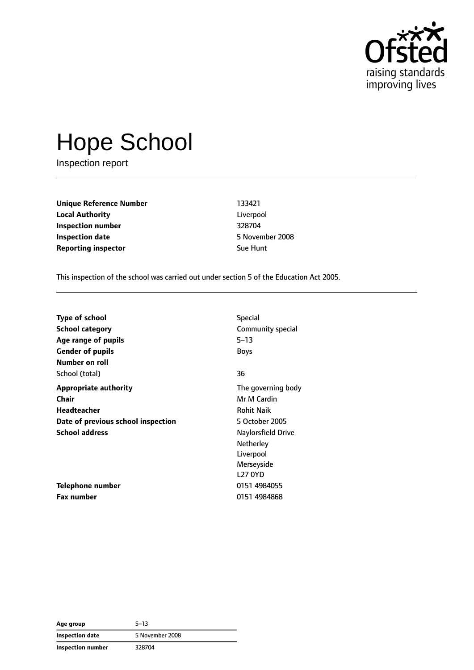

# Hope School

Inspection report

**Unique Reference Number** 133421 **Local Authority** Liverpool **Inspection number** 328704 **Inspection date** 5 November 2008 **Reporting inspector Sue Hunt** 

This inspection of the school was carried out under section 5 of the Education Act 2005.

| <b>Type of school</b>              | <b>Special</b>     |
|------------------------------------|--------------------|
| <b>School category</b>             | Community special  |
| Age range of pupils                | $5 - 13$           |
| <b>Gender of pupils</b>            | <b>Boys</b>        |
| Number on roll                     |                    |
| School (total)                     | 36                 |
| <b>Appropriate authority</b>       | The governing body |
| Chair                              | Mr M Cardin        |
| <b>Headteacher</b>                 | <b>Rohit Naik</b>  |
| Date of previous school inspection | 5 October 2005     |
| <b>School address</b>              | Naylorsfield Drive |
|                                    | <b>Netherley</b>   |
|                                    | Liverpool          |
|                                    | Merseyside         |
|                                    | <b>L27 0YD</b>     |
| Telephone number                   | 0151 4984055       |
| <b>Fax number</b>                  | 0151 4984868       |

**Age group** 5–13 **Inspection date** 5 November 2008 **Inspection number** 328704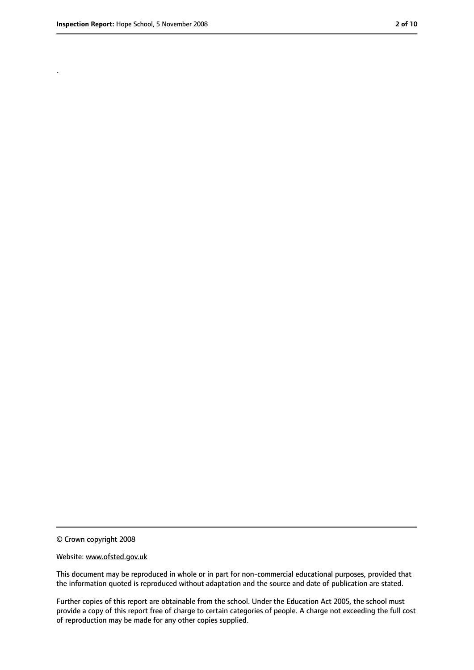.

<sup>©</sup> Crown copyright 2008

Website: www.ofsted.gov.uk

This document may be reproduced in whole or in part for non-commercial educational purposes, provided that the information quoted is reproduced without adaptation and the source and date of publication are stated.

Further copies of this report are obtainable from the school. Under the Education Act 2005, the school must provide a copy of this report free of charge to certain categories of people. A charge not exceeding the full cost of reproduction may be made for any other copies supplied.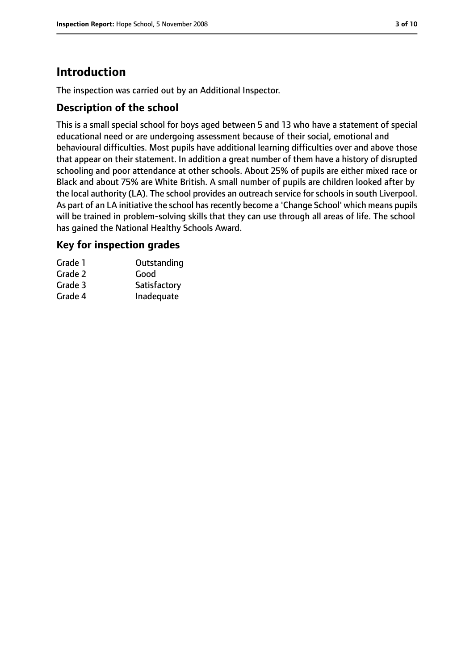# **Introduction**

The inspection was carried out by an Additional Inspector.

## **Description of the school**

This is a small special school for boys aged between 5 and 13 who have a statement of special educational need or are undergoing assessment because of their social, emotional and behavioural difficulties. Most pupils have additional learning difficulties over and above those that appear on their statement. In addition a great number of them have a history of disrupted schooling and poor attendance at other schools. About 25% of pupils are either mixed race or Black and about 75% are White British. A small number of pupils are children looked after by the local authority (LA). The school provides an outreach service for schools in south Liverpool. As part of an LA initiative the school has recently become a 'Change School' which means pupils will be trained in problem-solving skills that they can use through all areas of life. The school has gained the National Healthy Schools Award.

## **Key for inspection grades**

| Grade 1 | Outstanding  |
|---------|--------------|
| Grade 2 | Good         |
| Grade 3 | Satisfactory |
| Grade 4 | Inadequate   |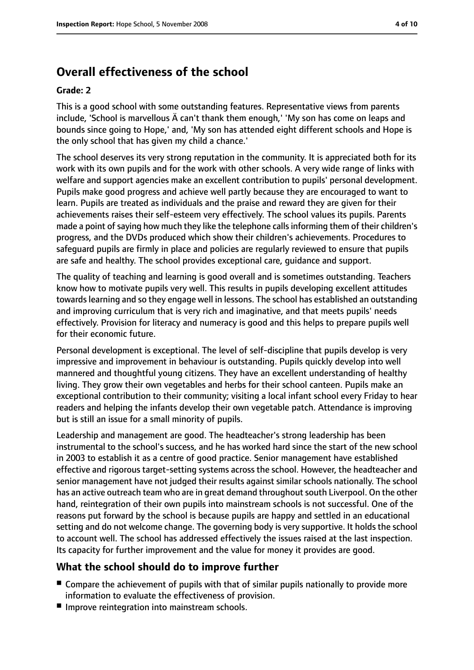# **Overall effectiveness of the school**

#### **Grade: 2**

This is a good school with some outstanding features. Representative views from parents include, 'School is marvellous Ä can't thank them enough,' 'My son has come on leaps and bounds since going to Hope,' and, 'My son has attended eight different schools and Hope is the only school that has given my child a chance.'

The school deserves its very strong reputation in the community. It is appreciated both for its work with its own pupils and for the work with other schools. A very wide range of links with welfare and support agencies make an excellent contribution to pupils' personal development. Pupils make good progress and achieve well partly because they are encouraged to want to learn. Pupils are treated as individuals and the praise and reward they are given for their achievements raises their self-esteem very effectively. The school values its pupils. Parents made a point of saying how much they like the telephone calls informing them of their children's progress, and the DVDs produced which show their children's achievements. Procedures to safeguard pupils are firmly in place and policies are regularly reviewed to ensure that pupils are safe and healthy. The school provides exceptional care, guidance and support.

The quality of teaching and learning is good overall and is sometimes outstanding. Teachers know how to motivate pupils very well. This results in pupils developing excellent attitudes towards learning and so they engage well in lessons. The school has established an outstanding and improving curriculum that is very rich and imaginative, and that meets pupils' needs effectively. Provision for literacy and numeracy is good and this helps to prepare pupils well for their economic future.

Personal development is exceptional. The level of self-discipline that pupils develop is very impressive and improvement in behaviour is outstanding. Pupils quickly develop into well mannered and thoughtful young citizens. They have an excellent understanding of healthy living. They grow their own vegetables and herbs for their school canteen. Pupils make an exceptional contribution to their community; visiting a local infant school every Friday to hear readers and helping the infants develop their own vegetable patch. Attendance is improving but is still an issue for a small minority of pupils.

Leadership and management are good. The headteacher's strong leadership has been instrumental to the school's success, and he has worked hard since the start of the new school in 2003 to establish it as a centre of good practice. Senior management have established effective and rigorous target-setting systems across the school. However, the headteacher and senior management have not judged their results against similar schools nationally. The school has an active outreach team who are in great demand throughoutsouth Liverpool. On the other hand, reintegration of their own pupils into mainstream schools is not successful. One of the reasons put forward by the school is because pupils are happy and settled in an educational setting and do not welcome change. The governing body is very supportive. It holds the school to account well. The school has addressed effectively the issues raised at the last inspection. Its capacity for further improvement and the value for money it provides are good.

## **What the school should do to improve further**

- Compare the achievement of pupils with that of similar pupils nationally to provide more information to evaluate the effectiveness of provision.
- Improve reintegration into mainstream schools.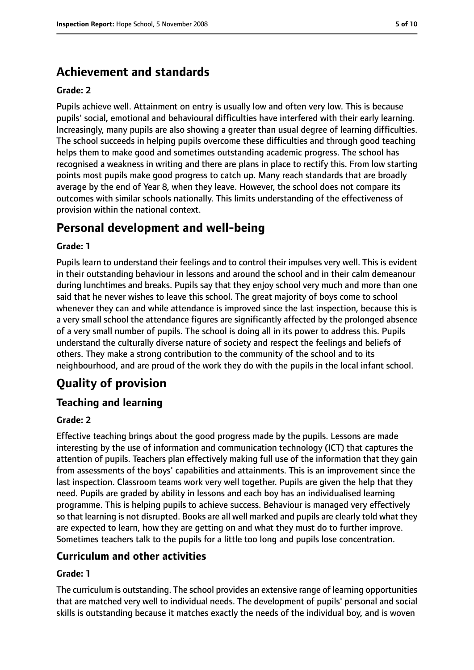# **Achievement and standards**

#### **Grade: 2**

Pupils achieve well. Attainment on entry is usually low and often very low. This is because pupils' social, emotional and behavioural difficulties have interfered with their early learning. Increasingly, many pupils are also showing a greater than usual degree of learning difficulties. The school succeeds in helping pupils overcome these difficulties and through good teaching helps them to make good and sometimes outstanding academic progress. The school has recognised a weakness in writing and there are plans in place to rectify this. From low starting points most pupils make good progress to catch up. Many reach standards that are broadly average by the end of Year 8, when they leave. However, the school does not compare its outcomes with similar schools nationally. This limits understanding of the effectiveness of provision within the national context.

# **Personal development and well-being**

#### **Grade: 1**

Pupils learn to understand their feelings and to control their impulses very well. This is evident in their outstanding behaviour in lessons and around the school and in their calm demeanour during lunchtimes and breaks. Pupils say that they enjoy school very much and more than one said that he never wishes to leave this school. The great majority of boys come to school whenever they can and while attendance is improved since the last inspection, because this is a very small school the attendance figures are significantly affected by the prolonged absence of a very small number of pupils. The school is doing all in its power to address this. Pupils understand the culturally diverse nature of society and respect the feelings and beliefs of others. They make a strong contribution to the community of the school and to its neighbourhood, and are proud of the work they do with the pupils in the local infant school.

# **Quality of provision**

## **Teaching and learning**

#### **Grade: 2**

Effective teaching brings about the good progress made by the pupils. Lessons are made interesting by the use of information and communication technology (ICT) that captures the attention of pupils. Teachers plan effectively making full use of the information that they gain from assessments of the boys' capabilities and attainments. This is an improvement since the last inspection. Classroom teams work very well together. Pupils are given the help that they need. Pupils are graded by ability in lessons and each boy has an individualised learning programme. This is helping pupils to achieve success. Behaviour is managed very effectively so that learning is not disrupted. Books are all well marked and pupils are clearly told what they are expected to learn, how they are getting on and what they must do to further improve. Sometimes teachers talk to the pupils for a little too long and pupils lose concentration.

## **Curriculum and other activities**

#### **Grade: 1**

The curriculum is outstanding. The school provides an extensive range of learning opportunities that are matched very well to individual needs. The development of pupils' personal and social skills is outstanding because it matches exactly the needs of the individual boy, and is woven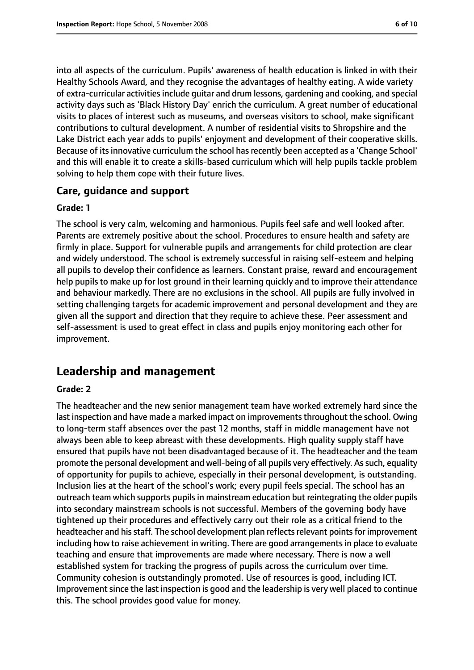into all aspects of the curriculum. Pupils' awareness of health education is linked in with their Healthy Schools Award, and they recognise the advantages of healthy eating. A wide variety of extra-curricular activitiesinclude guitar and drum lessons, gardening and cooking, and special activity days such as 'Black History Day' enrich the curriculum. A great number of educational visits to places of interest such as museums, and overseas visitors to school, make significant contributions to cultural development. A number of residential visits to Shropshire and the Lake District each year adds to pupils' enjoyment and development of their cooperative skills. Because of its innovative curriculum the school has recently been accepted as a 'Change School' and this will enable it to create a skills-based curriculum which will help pupils tackle problem solving to help them cope with their future lives.

#### **Care, guidance and support**

#### **Grade: 1**

The school is very calm, welcoming and harmonious. Pupils feel safe and well looked after. Parents are extremely positive about the school. Procedures to ensure health and safety are firmly in place. Support for vulnerable pupils and arrangements for child protection are clear and widely understood. The school is extremely successful in raising self-esteem and helping all pupils to develop their confidence as learners. Constant praise, reward and encouragement help pupils to make up for lost ground in their learning quickly and to improve their attendance and behaviour markedly. There are no exclusions in the school. All pupils are fully involved in setting challenging targets for academic improvement and personal development and they are given all the support and direction that they require to achieve these. Peer assessment and self-assessment is used to great effect in class and pupils enjoy monitoring each other for improvement.

# **Leadership and management**

#### **Grade: 2**

The headteacher and the new senior management team have worked extremely hard since the last inspection and have made a marked impact on improvements throughout the school. Owing to long-term staff absences over the past 12 months, staff in middle management have not always been able to keep abreast with these developments. High quality supply staff have ensured that pupils have not been disadvantaged because of it. The headteacher and the team promote the personal development and well-being of all pupils very effectively. As such, equality of opportunity for pupils to achieve, especially in their personal development, is outstanding. Inclusion lies at the heart of the school's work; every pupil feels special. The school has an outreach team which supports pupilsin mainstream education but reintegrating the older pupils into secondary mainstream schools is not successful. Members of the governing body have tightened up their procedures and effectively carry out their role as a critical friend to the headteacher and his staff. The school development plan reflects relevant points for improvement including how to raise achievement in writing. There are good arrangements in place to evaluate teaching and ensure that improvements are made where necessary. There is now a well established system for tracking the progress of pupils across the curriculum over time. Community cohesion is outstandingly promoted. Use of resources is good, including ICT. Improvement since the last inspection is good and the leadership is very well placed to continue this. The school provides good value for money.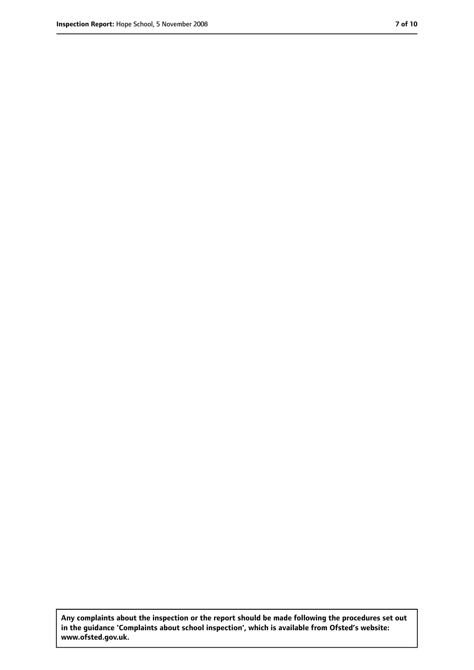**Any complaints about the inspection or the report should be made following the procedures set out in the guidance 'Complaints about school inspection', which is available from Ofsted's website: www.ofsted.gov.uk.**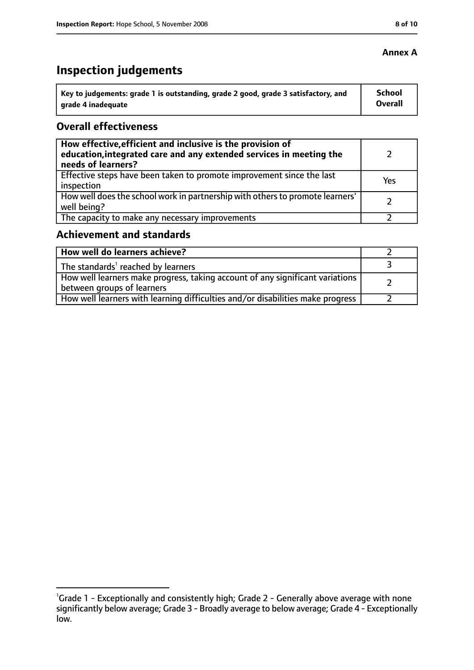#### **Annex A**

# **Inspection judgements**

| Key to judgements: grade 1 is outstanding, grade 2 good, grade 3 satisfactory, and | <b>School</b> |
|------------------------------------------------------------------------------------|---------------|
| arade 4 inadequate                                                                 | Overall       |

## **Overall effectiveness**

| How effective, efficient and inclusive is the provision of<br>education, integrated care and any extended services in meeting the<br>needs of learners? |     |
|---------------------------------------------------------------------------------------------------------------------------------------------------------|-----|
| Effective steps have been taken to promote improvement since the last<br>inspection                                                                     | Yes |
| How well does the school work in partnership with others to promote learners'<br>well being?                                                            |     |
| The capacity to make any necessary improvements                                                                                                         |     |

## **Achievement and standards**

| How well do learners achieve?                                                                               |  |
|-------------------------------------------------------------------------------------------------------------|--|
| $\perp$ The standards <sup>1</sup> reached by learners                                                      |  |
| How well learners make progress, taking account of any significant variations<br>between groups of learners |  |
| How well learners with learning difficulties and/or disabilities make progress                              |  |

<sup>&</sup>lt;sup>1</sup>Grade 1 - Exceptionally and consistently high; Grade 2 - Generally above average with none significantly below average; Grade 3 - Broadly average to below average; Grade 4 - Exceptionally low.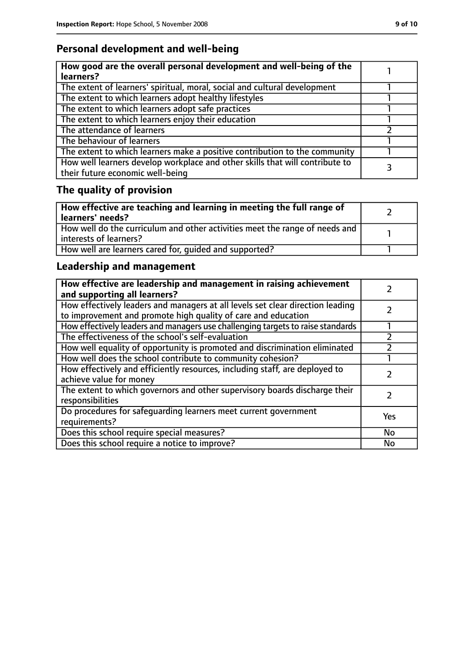# **Personal development and well-being**

| How good are the overall personal development and well-being of the<br>learners?                                 |  |
|------------------------------------------------------------------------------------------------------------------|--|
| The extent of learners' spiritual, moral, social and cultural development                                        |  |
| The extent to which learners adopt healthy lifestyles                                                            |  |
| The extent to which learners adopt safe practices                                                                |  |
| The extent to which learners enjoy their education                                                               |  |
| The attendance of learners                                                                                       |  |
| The behaviour of learners                                                                                        |  |
| The extent to which learners make a positive contribution to the community                                       |  |
| How well learners develop workplace and other skills that will contribute to<br>their future economic well-being |  |

# **The quality of provision**

| How effective are teaching and learning in meeting the full range of<br>learners' needs?              |  |
|-------------------------------------------------------------------------------------------------------|--|
| How well do the curriculum and other activities meet the range of needs and<br>interests of learners? |  |
| How well are learners cared for, quided and supported?                                                |  |

# **Leadership and management**

| How effective are leadership and management in raising achievement<br>and supporting all learners?                                              |     |
|-------------------------------------------------------------------------------------------------------------------------------------------------|-----|
| How effectively leaders and managers at all levels set clear direction leading<br>to improvement and promote high quality of care and education |     |
| How effectively leaders and managers use challenging targets to raise standards                                                                 |     |
| The effectiveness of the school's self-evaluation                                                                                               |     |
| How well equality of opportunity is promoted and discrimination eliminated                                                                      |     |
| How well does the school contribute to community cohesion?                                                                                      |     |
| How effectively and efficiently resources, including staff, are deployed to<br>achieve value for money                                          |     |
| The extent to which governors and other supervisory boards discharge their<br>responsibilities                                                  |     |
| Do procedures for safeguarding learners meet current government<br>requirements?                                                                | Yes |
| Does this school require special measures?                                                                                                      | No  |
| Does this school require a notice to improve?                                                                                                   | No  |